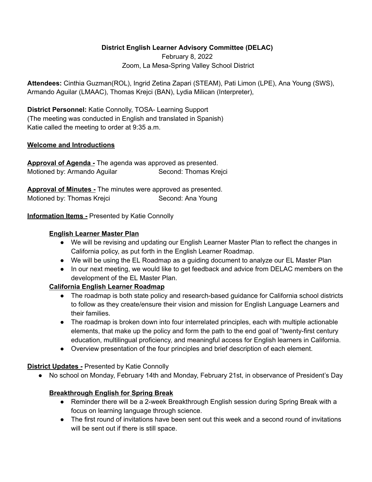## **District English Learner Advisory Committee (DELAC)**

February 8, 2022 Zoom, La Mesa-Spring Valley School District

**Attendees:** Cinthia Guzman(ROL), Ingrid Zetina Zapari (STEAM), Pati Limon (LPE), Ana Young (SWS), Armando Aguilar (LMAAC), Thomas Krejci (BAN), Lydia Milican (Interpreter),

**District Personnel:** Katie Connolly, TOSA- Learning Support (The meeting was conducted in English and translated in Spanish) Katie called the meeting to order at 9:35 a.m.

#### **Welcome and Introductions**

**Approval of Agenda -** The agenda was approved as presented. Motioned by: Armando Aguilar Second: Thomas Krejci

**Approval of Minutes -** The minutes were approved as presented. Motioned by: Thomas Krejci Second: Ana Young

### **Information Items -** Presented by Katie Connolly

#### **English Learner Master Plan**

- We will be revising and updating our English Learner Master Plan to reflect the changes in California policy, as put forth in the English Learner Roadmap.
- We will be using the EL Roadmap as a guiding document to analyze our EL Master Plan
- In our next meeting, we would like to get feedback and advice from DELAC members on the development of the EL Master Plan.

### **California English Learner Roadmap**

- The roadmap is both state policy and research-based guidance for California school districts to follow as they create/ensure their vision and mission for English Language Learners and their families.
- The roadmap is broken down into four interrelated principles, each with multiple actionable elements, that make up the policy and form the path to the end goal of "twenty-first century education, multilingual proficiency, and meaningful access for English learners in California.
- Overview presentation of the four principles and brief description of each element.

### **District Updates -** Presented by Katie Connolly

● No school on Monday, February 14th and Monday, February 21st, in observance of President's Day

# **Breakthrough English for Spring Break**

- Reminder there will be a 2-week Breakthrough English session during Spring Break with a focus on learning language through science.
- The first round of invitations have been sent out this week and a second round of invitations will be sent out if there is still space.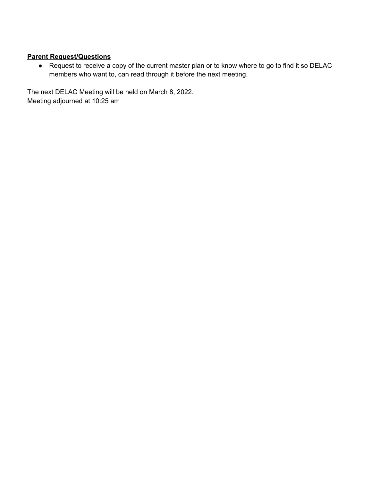## **Parent Request/Questions**

● Request to receive a copy of the current master plan or to know where to go to find it so DELAC members who want to, can read through it before the next meeting.

The next DELAC Meeting will be held on March 8, 2022. Meeting adjourned at 10:25 am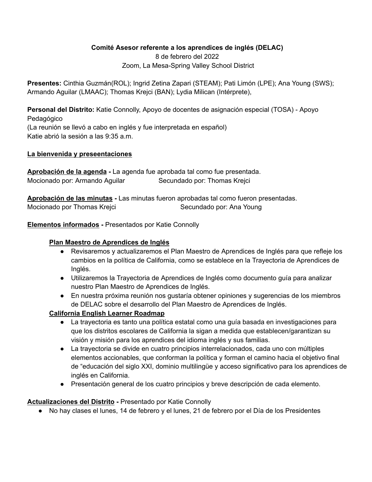### **Comité Asesor referente a los aprendices de inglés (DELAC)**

8 de febrero del 2022 Zoom, La Mesa-Spring Valley School District

**Presentes:** Cinthia Guzmán(ROL); Ingrid Zetina Zapari (STEAM); Pati Limón (LPE); Ana Young (SWS); Armando Aguilar (LMAAC); Thomas Krejci (BAN); Lydia Milican (Intérprete),

**Personal del Distrito:** Katie Connolly, Apoyo de docentes de asignación especial (TOSA) - Apoyo Pedagógico (La reunión se llevó a cabo en inglés y fue interpretada en español) Katie abrió la sesión a las 9:35 a.m.

### **La bienvenida y preseentaciones**

**Aprobación de la agenda -** La agenda fue aprobada tal como fue presentada. Mocionado por: Armando Aguilar Secundado por: Thomas Krejci

**Aprobación de las minutas -** Las minutas fueron aprobadas tal como fueron presentadas. Mocionado por Thomas Krejci Secundado por: Ana Young

**Elementos informados -** Presentados por Katie Connolly

### **Plan Maestro de Aprendices de Inglés**

- Revisaremos y actualizaremos el Plan Maestro de Aprendices de Inglés para que refleje los cambios en la política de California, como se establece en la Trayectoria de Aprendices de Inglés.
- Utilizaremos la Trayectoria de Aprendices de Inglés como documento guía para analizar nuestro Plan Maestro de Aprendices de Inglés.
- En nuestra próxima reunión nos gustaría obtener opiniones y sugerencias de los miembros de DELAC sobre el desarrollo del Plan Maestro de Aprendices de Inglés.

# **California English Learner Roadmap**

- La trayectoria es tanto una política estatal como una guía basada en investigaciones para que los distritos escolares de California la sigan a medida que establecen/garantizan su visión y misión para los aprendices del idioma inglés y sus familias.
- La trayectoria se divide en cuatro principios interrelacionados, cada uno con múltiples elementos accionables, que conforman la política y forman el camino hacia el objetivo final de "educación del siglo XXI, dominio multilingüe y acceso significativo para los aprendices de inglés en California.
- Presentación general de los cuatro principios y breve descripción de cada elemento.

# **Actualizaciones del Distrito -** Presentado por Katie Connolly

● No hay clases el lunes, 14 de febrero y el lunes, 21 de febrero por el Día de los Presidentes